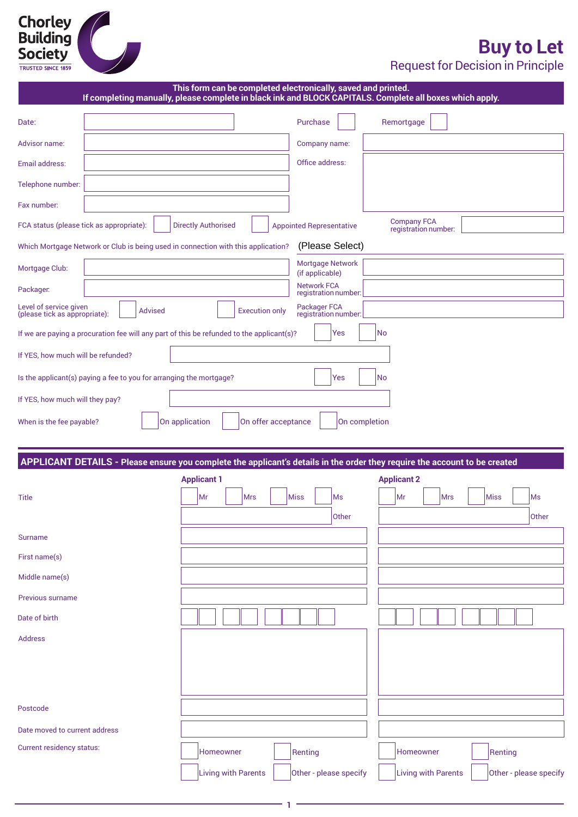# **Chorley<br>Building<br>Society**

## **Buy to Let**

Request for Decision in Principle

| If completing manually, please complete in black ink and BLOCK CAPITALS. Complete all boxes which apply.                   | This form can be completed electronically, saved and printed. |                       |                                            |                    |                                            |            |         |              |
|----------------------------------------------------------------------------------------------------------------------------|---------------------------------------------------------------|-----------------------|--------------------------------------------|--------------------|--------------------------------------------|------------|---------|--------------|
| Date:                                                                                                                      |                                                               |                       | Purchase                                   |                    | Remortgage                                 |            |         |              |
| Advisor name:                                                                                                              |                                                               |                       | Company name:                              |                    |                                            |            |         |              |
| Email address:                                                                                                             |                                                               |                       | Office address:                            |                    |                                            |            |         |              |
| Telephone number:                                                                                                          |                                                               |                       |                                            |                    |                                            |            |         |              |
| Fax number:                                                                                                                |                                                               |                       |                                            |                    |                                            |            |         |              |
| FCA status (please tick as appropriate):                                                                                   | <b>Directly Authorised</b>                                    |                       | <b>Appointed Representative</b>            |                    | <b>Company FCA</b><br>registration number: |            |         |              |
| Which Mortgage Network or Club is being used in connection with this application?                                          |                                                               |                       | (Please Select)                            |                    |                                            |            |         |              |
| Mortgage Club:                                                                                                             |                                                               |                       | Mortgage Network<br>(if applicable)        |                    |                                            |            |         |              |
| Packager.                                                                                                                  |                                                               |                       | <b>Network FCA</b><br>registration number: |                    |                                            |            |         |              |
| Level of service given<br><b>Advised</b><br>(please tick as appropriate):                                                  |                                                               | <b>Execution only</b> | Packager FCA<br>registration number:       |                    |                                            |            |         |              |
| If we are paying a procuration fee will any part of this be refunded to the applicant(s)?                                  |                                                               |                       | Yes                                        | No                 |                                            |            |         |              |
| If YES, how much will be refunded?                                                                                         |                                                               |                       |                                            |                    |                                            |            |         |              |
| Is the applicant(s) paying a fee to you for arranging the mortgage?                                                        |                                                               |                       | Yes                                        | No                 |                                            |            |         |              |
| If YES, how much will they pay?                                                                                            |                                                               |                       |                                            |                    |                                            |            |         |              |
| When is the fee payable?                                                                                                   | On application                                                | On offer acceptance   |                                            | On completion      |                                            |            |         |              |
|                                                                                                                            |                                                               |                       |                                            |                    |                                            |            |         |              |
|                                                                                                                            |                                                               |                       |                                            |                    |                                            |            |         |              |
| APPLICANT DETAILS - Please ensure you complete the applicant's details in the order they require the account to be created |                                                               |                       |                                            |                    |                                            |            |         |              |
|                                                                                                                            | <b>Applicant 1</b>                                            |                       |                                            | <b>Applicant 2</b> |                                            |            |         |              |
| <b>Title</b>                                                                                                               | Mr<br><b>Mrs</b>                                              | Miss                  | Ms                                         |                    | Mr                                         | <b>Mrs</b> | Miss    | Ms           |
|                                                                                                                            |                                                               |                       | Other                                      |                    |                                            |            |         | <b>Other</b> |
| <b>Surname</b>                                                                                                             |                                                               |                       |                                            |                    |                                            |            |         |              |
| First name(s)                                                                                                              |                                                               |                       |                                            |                    |                                            |            |         |              |
| Middle name(s)                                                                                                             |                                                               |                       |                                            |                    |                                            |            |         |              |
| Previous surname                                                                                                           |                                                               |                       |                                            |                    |                                            |            |         |              |
| Date of birth                                                                                                              |                                                               |                       |                                            |                    |                                            |            |         |              |
| <b>Address</b>                                                                                                             |                                                               |                       |                                            |                    |                                            |            |         |              |
|                                                                                                                            |                                                               |                       |                                            |                    |                                            |            |         |              |
|                                                                                                                            |                                                               |                       |                                            |                    |                                            |            |         |              |
| Postcode                                                                                                                   |                                                               |                       |                                            |                    |                                            |            |         |              |
| Date moved to current address                                                                                              |                                                               |                       |                                            |                    |                                            |            |         |              |
| Current residency status:                                                                                                  | Homeowner                                                     |                       | Renting                                    |                    | Homeowner                                  |            | Renting |              |

**1**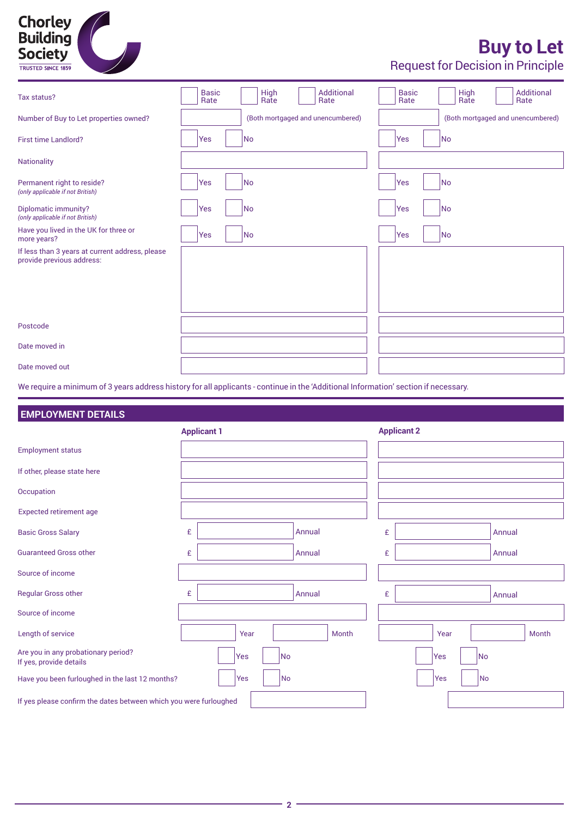

# **Buy to Let**

Request for Decision in Principle

| Tax status?                                                                                                                         | <b>Basic</b><br>Rate | Additional<br><b>High</b><br>Rate<br>Rate | <b>Basic</b><br>Rate | Additional<br><b>High</b><br>Rate<br>Rate |
|-------------------------------------------------------------------------------------------------------------------------------------|----------------------|-------------------------------------------|----------------------|-------------------------------------------|
| Number of Buy to Let properties owned?                                                                                              |                      | (Both mortgaged and unencumbered)         |                      | (Both mortgaged and unencumbered)         |
| <b>First time Landlord?</b>                                                                                                         | Yes                  | No                                        | Yes                  | No                                        |
| Nationality                                                                                                                         |                      |                                           |                      |                                           |
| Permanent right to reside?<br>(only applicable if not British)                                                                      | Yes                  | No                                        | Yes                  | No                                        |
| Diplomatic immunity?<br>(only applicable if not British)                                                                            | Yes                  | No                                        | Yes                  | No                                        |
| Have you lived in the UK for three or<br>more years?                                                                                | Yes                  | No                                        | Yes                  | No                                        |
| If less than 3 years at current address, please<br>provide previous address:                                                        |                      |                                           |                      |                                           |
| Postcode                                                                                                                            |                      |                                           |                      |                                           |
| Date moved in                                                                                                                       |                      |                                           |                      |                                           |
| Date moved out                                                                                                                      |                      |                                           |                      |                                           |
| We require a minimum of 3 years address history for all applicants - continue in the 'Additional Information' section if necessary. |                      |                                           |                      |                                           |

### **EMPLOYMENT DETAILS**

|                                                                   | <b>Applicant 1</b>    |        | <b>Applicant 2</b>    |  |  |  |
|-------------------------------------------------------------------|-----------------------|--------|-----------------------|--|--|--|
| <b>Employment status</b>                                          |                       |        |                       |  |  |  |
| If other, please state here                                       |                       |        |                       |  |  |  |
| Occupation                                                        |                       |        |                       |  |  |  |
| <b>Expected retirement age</b>                                    |                       |        |                       |  |  |  |
| <b>Basic Gross Salary</b>                                         | £                     | Annual | £<br>Annual           |  |  |  |
| <b>Guaranteed Gross other</b>                                     | £                     | Annual | £<br>Annual           |  |  |  |
| Source of income                                                  |                       |        |                       |  |  |  |
| <b>Regular Gross other</b>                                        | £                     | Annual | £<br>Annual           |  |  |  |
| Source of income                                                  |                       |        |                       |  |  |  |
| Length of service                                                 | Year                  | Month  | Month<br>Year         |  |  |  |
| Are you in any probationary period?<br>If yes, provide details    | No<br>Yes             |        | No<br>Yes             |  |  |  |
| Have you been furloughed in the last 12 months?                   | N <sub>o</sub><br>Yes |        | N <sub>o</sub><br>Yes |  |  |  |
| If yes please confirm the dates between which you were furloughed |                       |        |                       |  |  |  |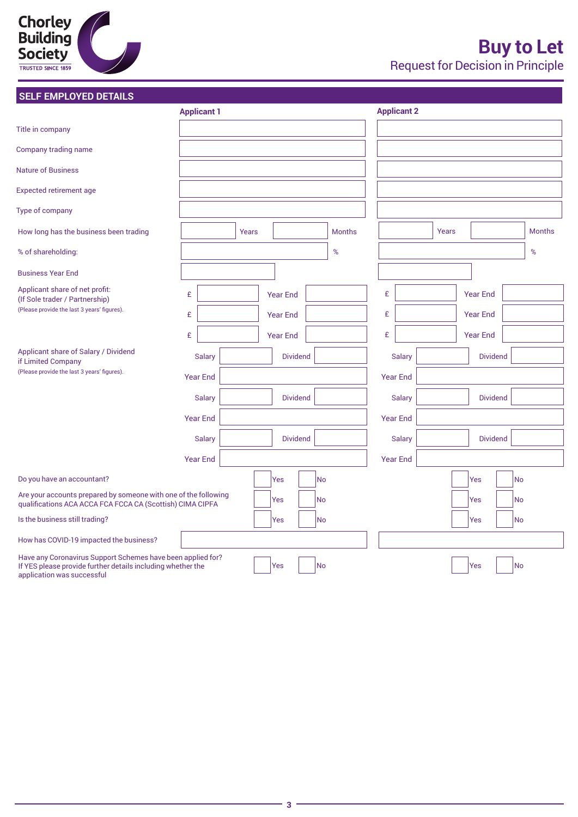# **Chorley<br>Building<br>Society**

### **SELF EMPLOYED DETAILS**

|                                                                                                                                                          | <b>Applicant 1</b> |       |                 |     |               |                 | <b>Applicant 2</b> |       |                 |           |               |
|----------------------------------------------------------------------------------------------------------------------------------------------------------|--------------------|-------|-----------------|-----|---------------|-----------------|--------------------|-------|-----------------|-----------|---------------|
| Title in company                                                                                                                                         |                    |       |                 |     |               |                 |                    |       |                 |           |               |
| Company trading name                                                                                                                                     |                    |       |                 |     |               |                 |                    |       |                 |           |               |
| <b>Nature of Business</b>                                                                                                                                |                    |       |                 |     |               |                 |                    |       |                 |           |               |
| <b>Expected retirement age</b>                                                                                                                           |                    |       |                 |     |               |                 |                    |       |                 |           |               |
| Type of company                                                                                                                                          |                    |       |                 |     |               |                 |                    |       |                 |           |               |
| How long has the business been trading                                                                                                                   |                    | Years |                 |     | <b>Months</b> |                 |                    | Years |                 |           | <b>Months</b> |
| % of shareholding:                                                                                                                                       |                    |       |                 |     | $\%$          |                 |                    |       |                 |           | %             |
| <b>Business Year End</b>                                                                                                                                 |                    |       |                 |     |               |                 |                    |       |                 |           |               |
| Applicant share of net profit:<br>(If Sole trader / Partnership)                                                                                         | £                  |       | <b>Year End</b> |     |               | £               |                    |       | <b>Year End</b> |           |               |
| (Please provide the last 3 years' figures).                                                                                                              | £                  |       | <b>Year End</b> |     |               | £               |                    |       | <b>Year End</b> |           |               |
|                                                                                                                                                          | £                  |       | <b>Year End</b> |     |               | £               |                    |       | <b>Year End</b> |           |               |
| Applicant share of Salary / Dividend                                                                                                                     | <b>Salary</b>      |       | <b>Dividend</b> |     |               |                 | <b>Salary</b>      |       | <b>Dividend</b> |           |               |
| if Limited Company<br>(Please provide the last 3 years' figures).                                                                                        | <b>Year End</b>    |       |                 |     |               | <b>Year End</b> |                    |       |                 |           |               |
|                                                                                                                                                          | <b>Salary</b>      |       | <b>Dividend</b> |     |               |                 | <b>Salary</b>      |       | <b>Dividend</b> |           |               |
|                                                                                                                                                          |                    |       |                 |     |               |                 |                    |       |                 |           |               |
|                                                                                                                                                          | <b>Year End</b>    |       |                 |     |               |                 | <b>Year End</b>    |       |                 |           |               |
|                                                                                                                                                          | <b>Salary</b>      |       | <b>Dividend</b> |     |               |                 | <b>Salary</b>      |       | <b>Dividend</b> |           |               |
|                                                                                                                                                          | <b>Year End</b>    |       |                 |     |               |                 | <b>Year End</b>    |       |                 |           |               |
| Do you have an accountant?                                                                                                                               |                    |       | Yes             | No  |               |                 |                    |       | Yes             | No        |               |
| Are your accounts prepared by someone with one of the following<br>qualifications ACA ACCA FCA FCCA CA (Scottish) CIMA CIPFA                             |                    |       | Yes             | No  |               |                 |                    |       | Yes             | No        |               |
| Is the business still trading?                                                                                                                           |                    |       | Yes             | No  |               |                 |                    |       | Yes             | <b>No</b> |               |
| How has COVID-19 impacted the business?                                                                                                                  |                    |       |                 |     |               |                 |                    |       |                 |           |               |
| Have any Coronavirus Support Schemes have been applied for?<br>If YES please provide further details including whether the<br>application was successful |                    |       | Yes             | lNo |               |                 |                    |       | Yes             | <b>No</b> |               |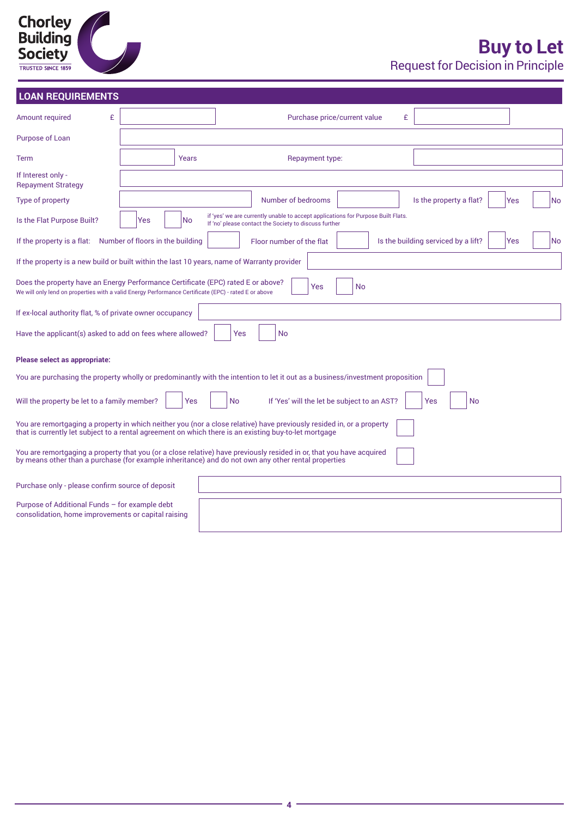| <b>Chorley</b><br><b>Building</b><br><b>Society</b> |  |
|-----------------------------------------------------|--|
| <b>TRUSTED SINCE 1859</b>                           |  |

## **Buy to Let** Request for Decision in Principle

|  |  | <b>LOAN REOUIREMENTS</b> |  |
|--|--|--------------------------|--|
|  |  |                          |  |
|  |  |                          |  |

| <b>LOAN REQUIREMENTS</b>                                                                                                                                                                 |           |                                                                                                                                                                                                                                |
|------------------------------------------------------------------------------------------------------------------------------------------------------------------------------------------|-----------|--------------------------------------------------------------------------------------------------------------------------------------------------------------------------------------------------------------------------------|
| £<br>Amount required                                                                                                                                                                     |           | £<br>Purchase price/current value                                                                                                                                                                                              |
| Purpose of Loan                                                                                                                                                                          |           |                                                                                                                                                                                                                                |
| <b>Term</b>                                                                                                                                                                              | Years     | Repayment type:                                                                                                                                                                                                                |
| If Interest only -<br><b>Repayment Strategy</b>                                                                                                                                          |           |                                                                                                                                                                                                                                |
| Type of property                                                                                                                                                                         |           | Number of bedrooms<br>Is the property a flat?<br>Yes<br>lNo                                                                                                                                                                    |
| Is the Flat Purpose Built?                                                                                                                                                               | No<br>Yes | if 'yes' we are currently unable to accept applications for Purpose Built Flats.<br>If 'no' please contact the Society to discuss further                                                                                      |
| If the property is a flat: Number of floors in the building                                                                                                                              |           | Is the building serviced by a lift?<br>lNo<br>Floor number of the flat<br>Yes                                                                                                                                                  |
| If the property is a new build or built within the last 10 years, name of Warranty provider                                                                                              |           |                                                                                                                                                                                                                                |
| Does the property have an Energy Performance Certificate (EPC) rated E or above?<br>We will only lend on properties with a valid Energy Performance Certificate (EPC) - rated E or above |           | Yes<br><b>No</b>                                                                                                                                                                                                               |
| If ex-local authority flat, % of private owner occupancy                                                                                                                                 |           |                                                                                                                                                                                                                                |
| Have the applicant(s) asked to add on fees where allowed?                                                                                                                                |           | Yes<br><b>No</b>                                                                                                                                                                                                               |
| Please select as appropriate:                                                                                                                                                            |           |                                                                                                                                                                                                                                |
|                                                                                                                                                                                          |           | You are purchasing the property wholly or predominantly with the intention to let it out as a business/investment proposition                                                                                                  |
| Will the property be let to a family member?                                                                                                                                             | Yes       | No<br>If 'Yes' will the let be subject to an AST?<br>Yes<br><b>No</b>                                                                                                                                                          |
|                                                                                                                                                                                          |           | You are remortgaging a property in which neither you (nor a close relative) have previously resided in, or a property<br>that is currently let subject to a rental agreement on which there is an existing buy-to-let mortgage |
|                                                                                                                                                                                          |           | You are remortgaging a property that you (or a close relative) have previously resided in or, that you have acquired<br>by means other than a purchase (for example inheritance) and do not own any other rental properties    |
| Purchase only - please confirm source of deposit                                                                                                                                         |           |                                                                                                                                                                                                                                |
| Purpose of Additional Funds - for example debt<br>consolidation, home improvements or capital raising                                                                                    |           |                                                                                                                                                                                                                                |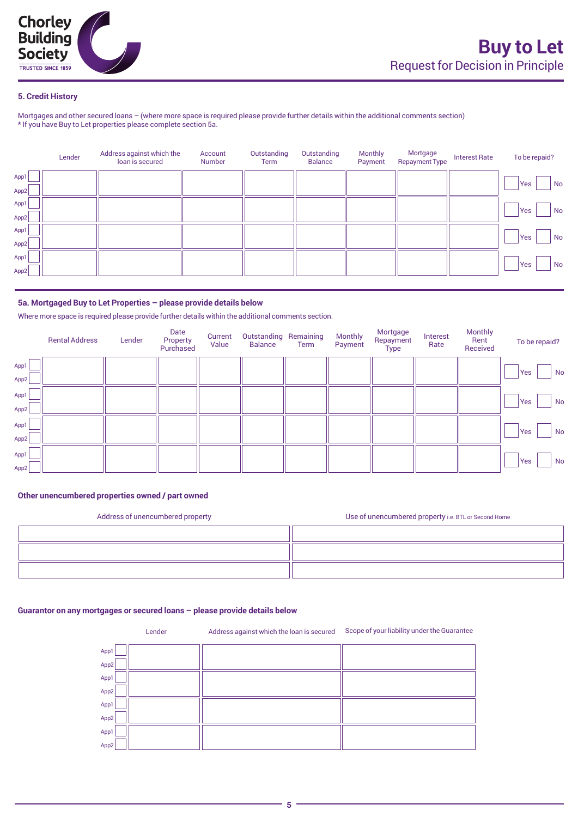

#### **5. Credit History**

Mortgages and other secured loans – (where more space is required please provide further details within the additional comments section) \* If you have Buy to Let properties please complete section 5a.

|              | Lender | Address against which the<br>loan is secured | Account<br>Number | Outstanding<br>Term | Outstanding<br><b>Balance</b> | <b>Monthly</b><br>Payment | Mortgage<br><b>Repayment Type</b> | <b>Interest Rate</b> | To be repaid? |
|--------------|--------|----------------------------------------------|-------------------|---------------------|-------------------------------|---------------------------|-----------------------------------|----------------------|---------------|
| App1         |        |                                              |                   |                     |                               |                           |                                   |                      | Yes<br>No     |
| App2<br>App1 |        |                                              |                   |                     |                               |                           |                                   |                      |               |
| App2         |        |                                              |                   |                     |                               |                           |                                   |                      | Yes<br>No     |
| App1         |        |                                              |                   |                     |                               |                           |                                   |                      | Yes<br>No     |
| App2         |        |                                              |                   |                     |                               |                           |                                   |                      |               |
| App1<br>App2 |        |                                              |                   |                     |                               |                           |                                   |                      | Yes<br>No     |
|              |        |                                              |                   |                     |                               |                           |                                   |                      |               |

#### **5a. Mortgaged Buy to Let Properties – please provide details below**

Where more space is required please provide further details within the additional comments section.

|              | <b>Rental Address</b> | Lender | Date<br>Property<br>Purchased | Current<br>Value | Outstanding Remaining<br><b>Balance</b> | Term | <b>Monthly</b><br>Payment | Mortgage<br>Repayment<br>Type | Interest<br>Rate | <b>Monthly</b><br>Rent<br>Received | To be repaid? |
|--------------|-----------------------|--------|-------------------------------|------------------|-----------------------------------------|------|---------------------------|-------------------------------|------------------|------------------------------------|---------------|
| App1<br>App2 |                       |        |                               |                  |                                         |      |                           |                               |                  |                                    | Yes<br>No     |
| App1<br>App2 |                       |        |                               |                  |                                         |      |                           |                               |                  |                                    | Yes<br>No     |
| App1<br>App2 |                       |        |                               |                  |                                         |      |                           |                               |                  |                                    | Yes<br>No     |
| App1<br>App2 |                       |        |                               |                  |                                         |      |                           |                               |                  |                                    | Yes<br>No     |

#### **Other unencumbered properties owned / part owned**

| Address of unencumbered property | Use of unencumbered property i.e. BTL or Second Home |
|----------------------------------|------------------------------------------------------|
|                                  |                                                      |
|                                  |                                                      |
|                                  |                                                      |

#### **Guarantor on any mortgages or secured loans – please provide details below**

Lender Address against which the loan is secured Scope of your liability under the Guarantee App1 App2 App1 App2 App1 App2 App1 App2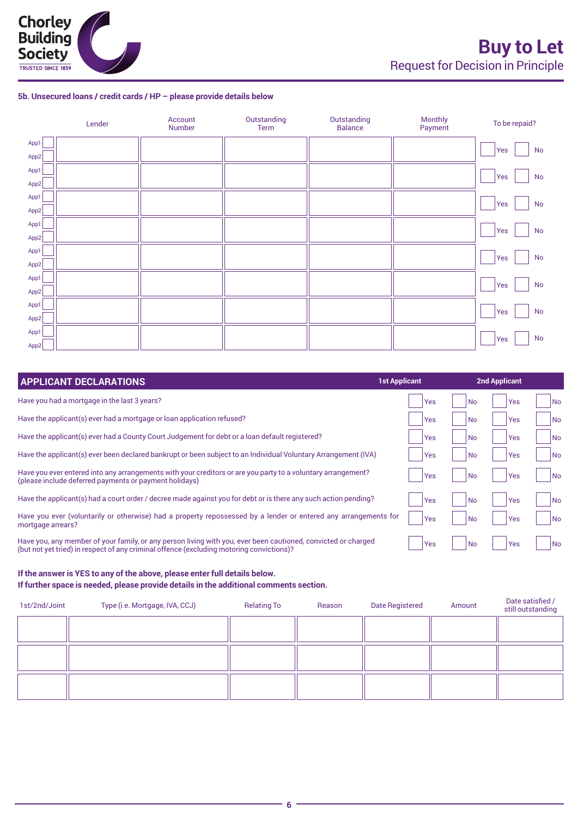#### **5b. Unsecured loans / credit cards / HP – please provide details below**

|      | Lender | Account<br>Number | Outstanding<br>Term | Outstanding<br><b>Balance</b> | Monthly<br>Payment | To be repaid?        |
|------|--------|-------------------|---------------------|-------------------------------|--------------------|----------------------|
| App1 |        |                   |                     |                               |                    | $\mathsf{No}$<br>Yes |
| App2 |        |                   |                     |                               |                    |                      |
| App1 |        |                   |                     |                               |                    | $\mathsf{No}$<br>Yes |
| App2 |        |                   |                     |                               |                    |                      |
| App1 |        |                   |                     |                               |                    |                      |
| App2 |        |                   |                     |                               |                    | $\mathsf{No}$<br>Yes |
| App1 |        |                   |                     |                               |                    |                      |
| App2 |        |                   |                     |                               |                    | $\mathsf{No}$<br>Yes |
| App1 |        |                   |                     |                               |                    |                      |
| App2 |        |                   |                     |                               |                    | No<br>Yes            |
| App1 |        |                   |                     |                               |                    |                      |
| App2 |        |                   |                     |                               |                    | $\mathsf{No}$<br>Yes |
| App1 |        |                   |                     |                               |                    |                      |
| App2 |        |                   |                     |                               |                    | $\mathsf{No}$<br>Yes |
| App1 |        |                   |                     |                               |                    |                      |
| App2 |        |                   |                     |                               |                    | $\mathsf{No}$<br>Yes |

| <b>APPLICANT DECLARATIONS</b>                                                                                                                                                                             | <b>1st Applicant</b> | <b>2nd Applicant</b> |                  |
|-----------------------------------------------------------------------------------------------------------------------------------------------------------------------------------------------------------|----------------------|----------------------|------------------|
| Have you had a mortgage in the last 3 years?                                                                                                                                                              | Yes                  | <b>No</b>            | Yes<br>No        |
| Have the applicant(s) ever had a mortgage or loan application refused?                                                                                                                                    | Yes                  | <b>No</b>            | No<br>Yes        |
| Have the applicant(s) ever had a County Court Judgement for debt or a loan default registered?                                                                                                            | <b>Yes</b>           | l No                 | Yes<br>No        |
| Have the applicant(s) ever been declared bankrupt or been subject to an Individual Voluntary Arrangement (IVA)                                                                                            | Yes                  | l No                 | Yes<br>No        |
| Have you ever entered into any arrangements with your creditors or are you party to a voluntary arrangement?<br>(please include deferred payments or payment holidays)                                    | <b>Yes</b>           | l No                 | Yes<br>No        |
| Have the applicant(s) had a court order / decree made against you for debt or is there any such action pending?                                                                                           | Yes                  | l No                 | No<br>Yes        |
| Have you ever (voluntarily or otherwise) had a property repossessed by a lender or entered any arrangements for<br>mortgage arrears?                                                                      | Yes                  | <b>No</b>            | Yes<br>No        |
| Have you, any member of your family, or any person living with you, ever been cautioned, convicted or charged<br>(but not yet tried) in respect of any criminal offence (excluding motoring convictions)? | Yes                  | <b>No</b>            | No<br><b>Yes</b> |

#### **If the answer is YES to any of the above, please enter full details below. If further space is needed, please provide details in the additional comments section.**

| 1st/2nd/Joint | Type (i.e. Mortgage, IVA, CCJ) | <b>Relating To</b> | Reason | Date Registered | Amount | Date satisfied /<br>still outstanding |
|---------------|--------------------------------|--------------------|--------|-----------------|--------|---------------------------------------|
|               |                                |                    |        |                 |        |                                       |
|               |                                |                    |        |                 |        |                                       |
|               |                                |                    |        |                 |        |                                       |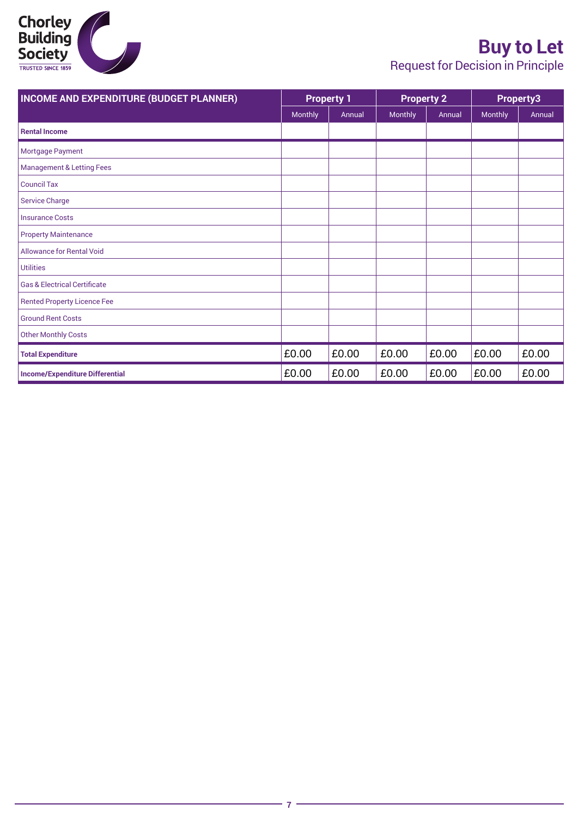

## **Buy to Let**

Request for Decision in Principle

| <b>INCOME AND EXPENDITURE (BUDGET PLANNER)</b> |         | <b>Property 1</b> |         | <b>Property 2</b> |         | Property3 |  |
|------------------------------------------------|---------|-------------------|---------|-------------------|---------|-----------|--|
|                                                | Monthly | Annual            | Monthly | Annual            | Monthly | Annual    |  |
| <b>Rental Income</b>                           |         |                   |         |                   |         |           |  |
| Mortgage Payment                               |         |                   |         |                   |         |           |  |
| <b>Management &amp; Letting Fees</b>           |         |                   |         |                   |         |           |  |
| <b>Council Tax</b>                             |         |                   |         |                   |         |           |  |
| <b>Service Charge</b>                          |         |                   |         |                   |         |           |  |
| <b>Insurance Costs</b>                         |         |                   |         |                   |         |           |  |
| <b>Property Maintenance</b>                    |         |                   |         |                   |         |           |  |
| <b>Allowance for Rental Void</b>               |         |                   |         |                   |         |           |  |
| <b>Utilities</b>                               |         |                   |         |                   |         |           |  |
| <b>Gas &amp; Electrical Certificate</b>        |         |                   |         |                   |         |           |  |
| <b>Rented Property Licence Fee</b>             |         |                   |         |                   |         |           |  |
| <b>Ground Rent Costs</b>                       |         |                   |         |                   |         |           |  |
| <b>Other Monthly Costs</b>                     |         |                   |         |                   |         |           |  |
| <b>Total Expenditure</b>                       | £0.00   | £0.00             | £0.00   | £0.00             | £0.00   | £0.00     |  |
| <b>Income/Expenditure Differential</b>         | £0.00   | £0.00             | £0.00   | £0.00             | £0.00   | £0.00     |  |